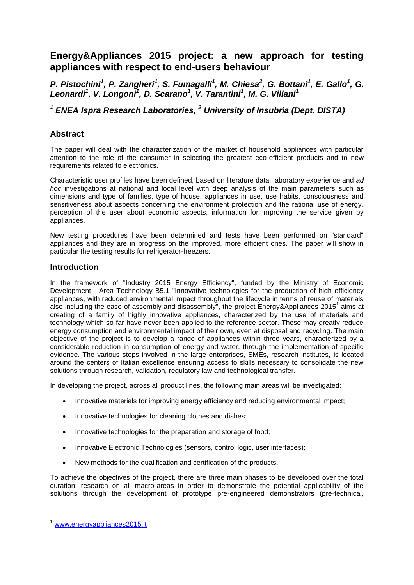# **Energy&Appliances 2015 project: a new approach for testing appliances with respect to end-users behaviour**

*P. Pistochini<sup>1</sup> , P. Zangheri<sup>1</sup> , S. Fumagalli<sup>1</sup> , M. Chiesa<sup>2</sup> , G. Bottani<sup>1</sup> , E. Gallo<sup>1</sup> , G. Leonardi<sup>1</sup> , V. Longoni<sup>1</sup> , D. Scarano<sup>1</sup> , V. Tarantini<sup>1</sup> , M. G. Villani<sup>1</sup>*

## *<sup>1</sup> ENEA Ispra Research Laboratories, <sup>2</sup> University of Insubria (Dept. DISTA)*

### **Abstract**

The paper will deal with the characterization of the market of household appliances with particular attention to the role of the consumer in selecting the greatest eco-efficient products and to new requirements related to electronics.

Characteristic user profiles have been defined, based on literature data, laboratory experience and *ad hoc* investigations at national and local level with deep analysis of the main parameters such as dimensions and type of families, type of house, appliances in use, use habits, consciousness and sensitiveness about aspects concerning the environment protection and the rational use of energy, perception of the user about economic aspects, information for improving the service given by appliances.

New testing procedures have been determined and tests have been performed on "standard" appliances and they are in progress on the improved, more efficient ones. The paper will show in particular the testing results for refrigerator-freezers.

### **Introduction**

In the framework of "Industry 2015 Energy Efficiency", funded by the Ministry of Economic Development - Area Technology B5.1 "Innovative technologies for the production of high efficiency appliances, with reduced environmental impact throughout the lifecycle in terms of reuse of materials also including the ease of assembly and disassembly", the project Energy&Appliances 2015<sup>1</sup> aims at creating of a family of highly innovative appliances, characterized by the use of materials and technology which so far have never been applied to the reference sector. These may greatly reduce energy consumption and environmental impact of their own, even at disposal and recycling. The main objective of the project is to develop a range of appliances within three years, characterized by a considerable reduction in consumption of energy and water, through the implementation of specific evidence. The various steps involved in the large enterprises, SMEs, research institutes, is located around the centers of Italian excellence ensuring access to skills necessary to consolidate the new solutions through research, validation, regulatory law and technological transfer.

In developing the project, across all product lines, the following main areas will be investigated:

- Innovative materials for improving energy efficiency and reducing environmental impact;
- Innovative technologies for cleaning clothes and dishes;
- Innovative technologies for the preparation and storage of food;
- Innovative Electronic Technologies (sensors, control logic, user interfaces);
- New methods for the qualification and certification of the products.

To achieve the objectives of the project, there are three main phases to be developed over the total duration: research on all macro-areas in order to demonstrate the potential applicability of the solutions through the development of prototype pre-engineered demonstrators (pre-technical,

-

<sup>1</sup> [www.energyappliances2015.it](http://www.energyappliances2015.it/)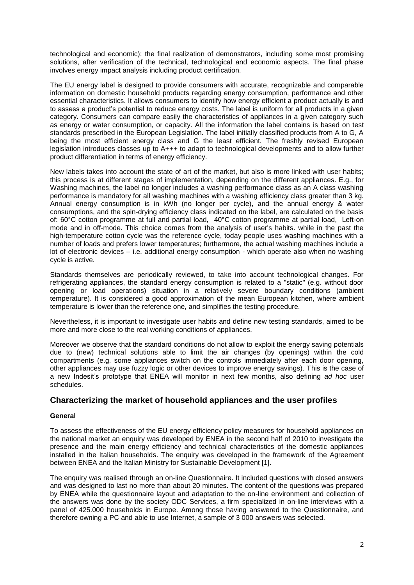technological and economic); the final realization of demonstrators, including some most promising solutions, after verification of the technical, technological and economic aspects. The final phase involves energy impact analysis including product certification.

The EU energy label is designed to provide consumers with accurate, recognizable and comparable information on domestic household products regarding energy consumption, performance and other essential characteristics. It allows consumers to identify how energy efficient a product actually is and to assess a product's potential to reduce energy costs. The label is uniform for all products in a given category. Consumers can compare easily the characteristics of appliances in a given category such as energy or water consumption, or capacity. All the information the label contains is based on test standards prescribed in the European Legislation. The label initially classified products from A to G, A being the most efficient energy class and G the least efficient. The freshly revised European legislation introduces classes up to A+++ to adapt to technological developments and to allow further product differentiation in terms of energy efficiency.

New labels takes into account the state of art of the market, but also is more linked with user habits; this process is at different stages of implementation, depending on the different appliances. E.g., for Washing machines, the label no longer includes a washing performance class as an A class washing performance is mandatory for all washing machines with a washing efficiency class greater than 3 kg. Annual energy consumption is in kWh (no longer per cycle), and the annual energy & water consumptions, and the spin-drying efficiency class indicated on the label, are calculated on the basis of: 60°C cotton programme at full and partial load, 40°C cotton programme at partial load, Left-on mode and in off-mode. This choice comes from the analysis of user's habits. while in the past the high-temperature cotton cycle was the reference cycle, today people uses washing machines with a number of loads and prefers lower temperatures; furthermore, the actual washing machines include a lot of electronic devices – i.e. additional energy consumption - which operate also when no washing cycle is active.

Standards themselves are periodically reviewed, to take into account technological changes. For refrigerating appliances, the standard energy consumption is related to a "static" (e.g. without door opening or load operations) situation in a relatively severe boundary conditions (ambient temperature). It is considered a good approximation of the mean European kitchen, where ambient temperature is lower than the reference one, and simplifies the testing procedure.

Nevertheless, it is important to investigate user habits and define new testing standards, aimed to be more and more close to the real working conditions of appliances.

Moreover we observe that the standard conditions do not allow to exploit the energy saving potentials due to (new) technical solutions able to limit the air changes (by openings) within the cold compartments (e.g. some appliances switch on the controls immediately after each door opening, other appliances may use fuzzy logic or other devices to improve energy savings). This is the case of a new Indesit's prototype that ENEA will monitor in next few months, also defining *ad hoc* user schedules.

## **Characterizing the market of household appliances and the user profiles**

#### **General**

To assess the effectiveness of the EU energy efficiency policy measures for household appliances on the national market an enquiry was developed by ENEA in the second half of 2010 to investigate the presence and the main energy efficiency and technical characteristics of the domestic appliances installed in the Italian households. The enquiry was developed in the framework of the Agreement between ENEA and the Italian Ministry for Sustainable Development [1].

The enquiry was realised through an on-line Questionnaire. It included questions with closed answers and was designed to last no more than about 20 minutes. The content of the questions was prepared by ENEA while the questionnaire layout and adaptation to the on-line environment and collection of the answers was done by the society ODC Services, a firm specialized in on-line interviews with a panel of 425.000 households in Europe. Among those having answered to the Questionnaire, and therefore owning a PC and able to use Internet, a sample of 3 000 answers was selected.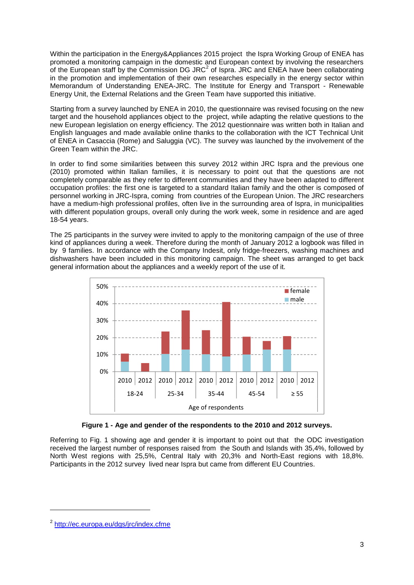Within the participation in the Energy&Appliances 2015 project the Ispra Working Group of ENEA has promoted a monitoring campaign in the domestic and European context by involving the researchers of the European staff by the Commission DG JRC<sup>2</sup> of Ispra. JRC and ENEA have been collaborating in the promotion and implementation of their own researches especially in the energy sector within Memorandum of Understanding ENEA-JRC. The Institute for Energy and Transport - Renewable Energy Unit, the External Relations and the Green Team have supported this initiative.

Starting from a survey launched by ENEA in 2010, the questionnaire was revised focusing on the new target and the household appliances object to the project, while adapting the relative questions to the new European legislation on energy efficiency. The 2012 questionnaire was written both in Italian and English languages and made available online thanks to the collaboration with the ICT Technical Unit of ENEA in Casaccia (Rome) and Saluggia (VC). The survey was launched by the involvement of the Green Team within the JRC.

In order to find some similarities between this survey 2012 within JRC Ispra and the previous one (2010) promoted within Italian families, it is necessary to point out that the questions are not completely comparable as they refer to different communities and they have been adapted to different occupation profiles: the first one is targeted to a standard Italian family and the other is composed of personnel working in JRC-Ispra, coming from countries of the European Union. The JRC researchers have a medium-high professional profiles, often live in the surrounding area of Ispra, in municipalities with different population groups, overall only during the work week, some in residence and are aged 18-54 years.

The 25 participants in the survey were invited to apply to the monitoring campaign of the use of three kind of appliances during a week. Therefore during the month of January 2012 a logbook was filled in by 9 families. In accordance with the Company Indesit, only fridge-freezers, washing machines and dishwashers have been included in this monitoring campaign. The sheet was arranged to get back general information about the appliances and a weekly report of the use of it.



**Figure 1 - Age and gender of the respondents to the 2010 and 2012 surveys.**

Referring to Fig. 1 showing age and gender it is important to point out that the ODC investigation received the largest number of responses raised from the South and Islands with 35,4%, followed by North West regions with 25,5%, Central Italy with 20,3% and North-East regions with 18,8%. Participants in the 2012 survey lived near Ispra but came from different EU Countries.

-

<sup>&</sup>lt;sup>2</sup> <http://ec.europa.eu/dgs/jrc/index.cfme>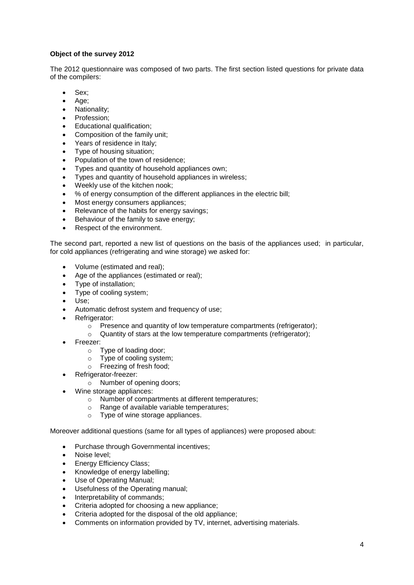### **Object of the survey 2012**

The 2012 questionnaire was composed of two parts. The first section listed questions for private data of the compilers:

- Sex;
- Age:
- Nationality;
- Profession;
- Educational qualification;
- Composition of the family unit;
- Years of residence in Italy;
- Type of housing situation;
- Population of the town of residence;
- Types and quantity of household appliances own;
- Types and quantity of household appliances in wireless;
- Weekly use of the kitchen nook;
- % of energy consumption of the different appliances in the electric bill;
- Most energy consumers appliances;
- Relevance of the habits for energy savings;
- Behaviour of the family to save energy;
- Respect of the environment.

The second part, reported a new list of questions on the basis of the appliances used; in particular, for cold appliances (refrigerating and wine storage) we asked for:

- Volume (estimated and real);
- Age of the appliances (estimated or real);
- Type of installation;
- Type of cooling system;
- Use;
- Automatic defrost system and frequency of use;
- Refrigerator:
	- $\circ$  Presence and quantity of low temperature compartments (refrigerator);
	- o Quantity of stars at the low temperature compartments (refrigerator);
- Freezer:
	- o Type of loading door;
	- o Type of cooling system;
	- o Freezing of fresh food;
- Refrigerator-freezer:
	- o Number of opening doors;
- Wine storage appliances:
	- o Number of compartments at different temperatures;
	- o Range of available variable temperatures;
	- o Type of wine storage appliances.

Moreover additional questions (same for all types of appliances) were proposed about:

- Purchase through Governmental incentives;
- Noise level;
- Energy Efficiency Class;
- Knowledge of energy labelling;
- Use of Operating Manual;
- Usefulness of the Operating manual;
- Interpretability of commands;
- Criteria adopted for choosing a new appliance;
- Criteria adopted for the disposal of the old appliance;
- Comments on information provided by TV, internet, advertising materials.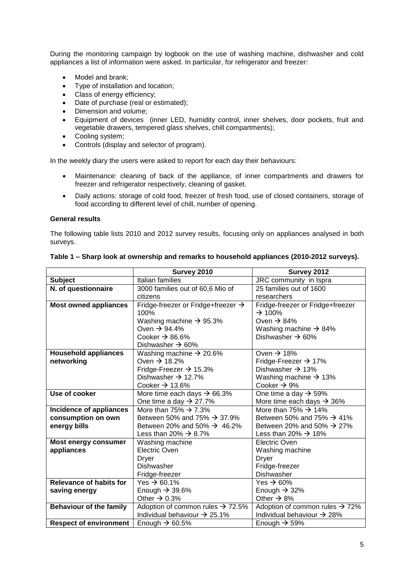During the monitoring campaign by logbook on the use of washing machine, dishwasher and cold appliances a list of information were asked. In particular, for refrigerator and freezer:

- Model and brank;
- Type of installation and location;
- Class of energy efficiency;
- Date of purchase (real or estimated);
- Dimension and volume;
- Equipment of devices (inner LED, humidity control, inner shelves, door pockets, fruit and vegetable drawers, tempered glass shelves, chill compartments);
- Cooling system;
- Controls (display and selector of program).

In the weekly diary the users were asked to report for each day their behaviours:

- Maintenance: cleaning of back of the appliance, of inner compartments and drawers for freezer and refrigerator respectively, cleaning of gasket.
- Daily actions: storage of cold food, freezer of fresh food, use of closed containers, storage of food according to different level of chill, number of opening.

#### **General results**

The following table lists 2010 and 2012 survey results, focusing only on appliances analysed in both surveys.

|                                | Survey 2010                                    | Survey 2012                                |
|--------------------------------|------------------------------------------------|--------------------------------------------|
| <b>Subject</b>                 | Italian families                               | JRC community in Ispra                     |
| N. of questionnaire            | 3000 families out of 60,6 Mio of               | 25 families out of 1600                    |
|                                | citizens                                       | researchers                                |
| <b>Most owned appliances</b>   | Fridge-freezer or Fridge+freezer $\rightarrow$ | Fridge-freezer or Fridge+freezer           |
|                                | 100%                                           | $\rightarrow$ 100%                         |
|                                | Washing machine $\rightarrow$ 95.3%            | Oven $\rightarrow$ 84%                     |
|                                | Oven $\rightarrow$ 94.4%                       | Washing machine $\rightarrow$ 84%          |
|                                | Cooker $\rightarrow$ 86.6%                     | Dishwasher $\rightarrow$ 60%               |
|                                | Dishwasher $\rightarrow$ 60%                   |                                            |
| <b>Household appliances</b>    | Washing machine $\rightarrow$ 20.6%            | Oven $\rightarrow$ 18%                     |
| networking                     | Oven $\rightarrow$ 18.2%                       | Fridge-Freezer $\rightarrow$ 17%           |
|                                | Fridge-Freezer $\rightarrow$ 15.3%             | Dishwasher $\rightarrow$ 13%               |
|                                | Dishwasher $\rightarrow$ 12.7%                 | Washing machine $\rightarrow$ 13%          |
|                                | Cooker $\rightarrow$ 13.6%                     | Cooker $\rightarrow$ 9%                    |
| Use of cooker                  | More time each days $\rightarrow$ 66.3%        | One time a day $\rightarrow$ 59%           |
|                                | One time a day $\rightarrow$ 27.7%             | More time each days $\rightarrow$ 36%      |
| Incidence of appliances        | More than $75\% \rightarrow 7.3\%$             | More than 75% $\rightarrow$ 14%            |
| consumption on own             | Between 50% and 75% $\rightarrow$ 37.9%        | Between 50% and 75% $\rightarrow$ 41%      |
| energy bills                   | Between 20% and 50% $\rightarrow$ 46.2%        | Between 20% and 50% $\rightarrow$ 27%      |
|                                | Less than 20% $\rightarrow$ 8.7%               | Less than 20% $\rightarrow$ 18%            |
| Most energy consumer           | Washing machine                                | Electric Oven                              |
| appliances                     | <b>Electric Oven</b>                           | Washing machine                            |
|                                | Dryer                                          | <b>Dryer</b>                               |
|                                | <b>Dishwasher</b>                              | Fridge-freezer                             |
|                                | Fridge-freezer                                 | Dishwasher                                 |
| <b>Relevance of habits for</b> | Yes $\rightarrow$ 60.1%                        | Yes $\rightarrow$ 60%                      |
| saving energy                  | Enough $\rightarrow$ 39.6%                     | Enough $\rightarrow$ 32%                   |
|                                | Other $\rightarrow$ 0.3%                       | Other $\rightarrow$ 8%                     |
| <b>Behaviour of the family</b> | Adoption of common rules $\rightarrow$ 72.5%   | Adoption of common rules $\rightarrow$ 72% |
|                                | Individual behaviour $\rightarrow$ 25.1%       | Individual behaviour $\rightarrow$ 28%     |
| <b>Respect of environment</b>  | Enough $\rightarrow$ 60.5%                     | Enough $\rightarrow$ 59%                   |

#### **Table 1 – Sharp look at ownership and remarks to household appliances (2010-2012 surveys).**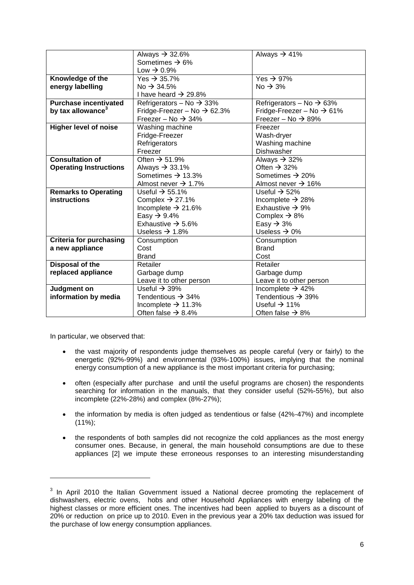|                                | Always $\rightarrow$ 32.6%              | Always $\rightarrow$ 41%              |
|--------------------------------|-----------------------------------------|---------------------------------------|
|                                | Sometimes $\rightarrow$ 6%              |                                       |
|                                | Low $\rightarrow$ 0.9%                  |                                       |
| Knowledge of the               | Yes $\rightarrow$ 35.7%                 | Yes $\rightarrow$ 97%                 |
| energy labelling               | No $\rightarrow$ 34.5%                  | $No \rightarrow 3\%$                  |
|                                | I have heard $\rightarrow$ 29.8%        |                                       |
| <b>Purchase incentivated</b>   | Refrigerators – No $\rightarrow$ 33%    | Refrigerators – No $\rightarrow$ 63%  |
| by tax allowance <sup>3</sup>  | Fridge-Freezer – No $\rightarrow$ 62.3% | Fridge-Freezer – No $\rightarrow$ 61% |
|                                | Freezer – No $\rightarrow$ 34%          | Freezer – No $\rightarrow$ 89%        |
| <b>Higher level of noise</b>   | Washing machine                         | Freezer                               |
|                                | Fridge-Freezer                          | Wash-dryer                            |
|                                | Refrigerators                           | Washing machine                       |
|                                | Freezer                                 | Dishwasher                            |
| <b>Consultation of</b>         | Often $\rightarrow$ 51.9%               | Always $\rightarrow$ 32%              |
| <b>Operating Instructions</b>  | Always $\rightarrow$ 33.1%              | Often $\rightarrow$ 32%               |
|                                | Sometimes $\rightarrow$ 13.3%           | Sometimes $\rightarrow$ 20%           |
|                                | Almost never $\rightarrow$ 1.7%         | Almost never $\rightarrow$ 16%        |
| <b>Remarks to Operating</b>    | Useful $\rightarrow$ 55.1%              | Useful $\rightarrow$ 52%              |
| <b>instructions</b>            | Complex $\rightarrow$ 27.1%             | Incomplete $\rightarrow$ 28%          |
|                                | Incomplete $\rightarrow$ 21.6%          | Exhaustive $\rightarrow$ 9%           |
|                                | Easy $\rightarrow$ 9.4%                 | Complex $\rightarrow$ 8%              |
|                                | Exhaustive $\rightarrow$ 5.6%           | Easy $\rightarrow$ 3%                 |
|                                | Useless $\rightarrow$ 1.8%              | Useless $\rightarrow$ 0%              |
| <b>Criteria for purchasing</b> | Consumption                             | Consumption                           |
| a new appliance                | Cost                                    | <b>Brand</b>                          |
|                                | <b>Brand</b>                            | Cost                                  |
| Disposal of the                | Retailer                                | Retailer                              |
| replaced appliance             | Garbage dump                            | Garbage dump                          |
|                                | Leave it to other person                | Leave it to other person              |
| Judgment on                    | Useful $\rightarrow$ 39%                | Incomplete $\rightarrow$ 42%          |
| information by media           | Tendentious $\rightarrow$ 34%           | Tendentious $\rightarrow$ 39%         |
|                                | Incomplete $\rightarrow$ 11.3%          | Useful $\rightarrow$ 11%              |
|                                | Often false $\rightarrow$ 8.4%          | Often false $\rightarrow$ 8%          |

In particular, we observed that:

1

- the vast majority of respondents judge themselves as people careful (very or fairly) to the energetic (92%-99%) and environmental (93%-100%) issues, implying that the nominal energy consumption of a new appliance is the most important criteria for purchasing;
- often (especially after purchase and until the useful programs are chosen) the respondents searching for information in the manuals, that they consider useful (52%-55%), but also incomplete (22%-28%) and complex (8%-27%);
- the information by media is often judged as tendentious or false (42%-47%) and incomplete  $(11\%)$ ;
- the respondents of both samples did not recognize the cold appliances as the most energy consumer ones. Because, in general, the main household consumptions are due to these appliances [2] we impute these erroneous responses to an interesting misunderstanding

 $3$  In April 2010 the Italian Government issued a National decree promoting the replacement of dishwashers, electric ovens, hobs and other Household Appliances with energy labeling of the highest classes or more efficient ones. The incentives had been applied to buyers as a discount of 20% or reduction on price up to 2010. Even in the previous year a 20% tax deduction was issued for the purchase of low energy consumption appliances.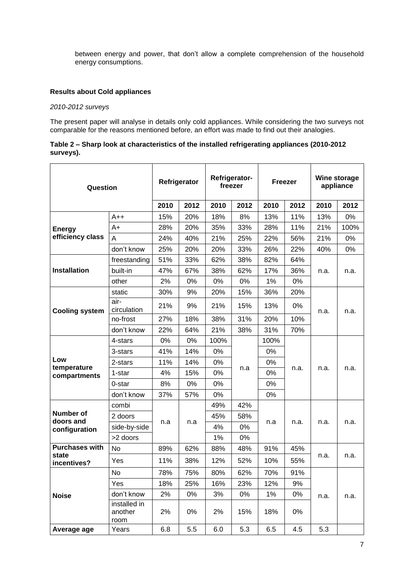between energy and power, that don't allow a complete comprehension of the household energy consumptions.

#### **Results about Cold appliances**

#### *2010-2012 surveys*

The present paper will analyse in details only cold appliances. While considering the two surveys not comparable for the reasons mentioned before, an effort was made to find out their analogies.

#### **Table 2 – Sharp look at characteristics of the installed refrigerating appliances (2010-2012 surveys).**

| Question                    |                                 | Refrigerator-<br>Refrigerator<br>freezer |      | <b>Freezer</b> |      | Wine storage<br>appliance |      |      |      |
|-----------------------------|---------------------------------|------------------------------------------|------|----------------|------|---------------------------|------|------|------|
|                             |                                 | 2010                                     | 2012 | 2010           | 2012 | 2010                      | 2012 | 2010 | 2012 |
|                             | $A++$                           | 15%                                      | 20%  | 18%            | 8%   | 13%                       | 11%  | 13%  | 0%   |
| <b>Energy</b>               | $A+$                            | 28%                                      | 20%  | 35%            | 33%  | 28%                       | 11%  | 21%  | 100% |
| efficiency class            | A                               | 24%                                      | 40%  | 21%            | 25%  | 22%                       | 56%  | 21%  | 0%   |
|                             | don't know                      | 25%                                      | 20%  | 20%            | 33%  | 26%                       | 22%  | 40%  | 0%   |
|                             | freestanding                    | 51%                                      | 33%  | 62%            | 38%  | 82%                       | 64%  |      |      |
| Installation                | built-in                        | 47%                                      | 67%  | 38%            | 62%  | 17%                       | 36%  | n.a. | n.a. |
|                             | other                           | 2%                                       | 0%   | 0%             | 0%   | 1%                        | 0%   |      |      |
|                             | static                          | 30%                                      | 9%   | 20%            | 15%  | 36%                       | 20%  |      |      |
| <b>Cooling system</b>       | air-<br>circulation             | 21%                                      | 9%   | 21%            | 15%  | 13%                       | 0%   | n.a. | n.a. |
|                             | no-frost                        | 27%                                      | 18%  | 38%            | 31%  | 20%                       | 10%  |      |      |
|                             | don't know                      | 22%                                      | 64%  | 21%            | 38%  | 31%                       | 70%  |      |      |
|                             | 4-stars                         | 0%                                       | 0%   | 100%           |      | 100%<br>0%                |      |      |      |
|                             | 3-stars                         | 41%                                      | 14%  | 0%             |      |                           |      |      |      |
| Low                         | 2-stars                         | 11%                                      | 14%  | 0%             | 0%   |                           | n.a. |      |      |
| temperature<br>compartments | 1-star                          | 4%                                       | 15%  | 0%             | n.a  | 0%<br>0%                  | n.a. |      | n.a. |
|                             | 0-star                          | 8%                                       | 0%   | 0%             |      |                           |      |      |      |
|                             | don't know                      | 37%                                      | 57%  | 0%             |      | 0%                        |      |      |      |
|                             | combi                           |                                          |      | 49%            | 42%  |                           |      | n.a. | n.a. |
| <b>Number of</b>            | 2 doors                         |                                          |      | 45%            | 58%  |                           |      |      |      |
| doors and<br>configuration  | side-by-side                    | n.a                                      | n.a  | 4%             | 0%   | n.a                       | n.a. |      |      |
|                             | >2 doors                        |                                          |      | $1\%$          | 0%   |                           |      |      |      |
| <b>Purchases with</b>       | <b>No</b>                       | 89%                                      | 62%  | 88%            | 48%  | 91%                       | 45%  | n.a. | n.a. |
| state<br>incentives?        | Yes                             | 11%                                      | 38%  | 12%            | 52%  | 10%                       | 55%  |      |      |
|                             | No                              | 78%                                      | 75%  | 80%            | 62%  | 70%                       | 91%  |      | n.a. |
| <b>Noise</b>                | Yes                             | 18%                                      | 25%  | 16%            | 23%  | 12%                       | 9%   |      |      |
|                             | don't know                      | 2%                                       | 0%   | 3%             | 0%   | $1\%$                     | 0%   | n.a. |      |
|                             | installed in<br>another<br>room | 2%                                       | 0%   | 2%             | 15%  | 18%                       | 0%   |      |      |
| Average age                 | Years                           | 6.8                                      | 5.5  | 6.0            | 5.3  | 6.5                       | 4.5  | 5.3  |      |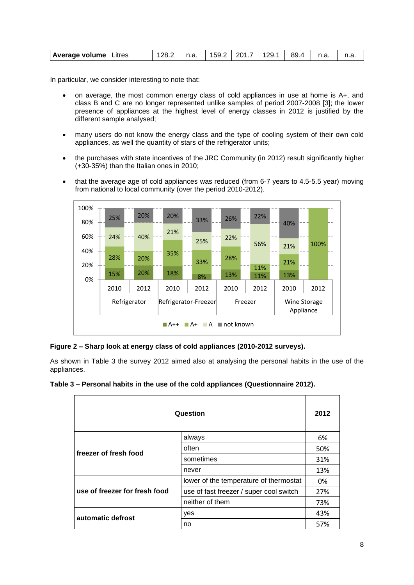| <b>Average volume</b>   Litres |  |  |  |  |  |  |  | 128.2   n.a.   159.2   201.7   129.1   89.4   n.a.   n.a. |  |
|--------------------------------|--|--|--|--|--|--|--|-----------------------------------------------------------|--|
|--------------------------------|--|--|--|--|--|--|--|-----------------------------------------------------------|--|

In particular, we consider interesting to note that:

- on average, the most common energy class of cold appliances in use at home is A+, and class B and C are no longer represented unlike samples of period 2007-2008 [3]; the lower presence of appliances at the highest level of energy classes in 2012 is justified by the different sample analysed;
- many users do not know the energy class and the type of cooling system of their own cold appliances, as well the quantity of stars of the refrigerator units;
- the purchases with state incentives of the JRC Community (in 2012) result significantly higher (+30-35%) than the Italian ones in 2010;
- that the average age of cold appliances was reduced (from 6-7 years to 4.5-5.5 year) moving from national to local community (over the period 2010-2012).



#### **Figure 2 – Sharp look at energy class of cold appliances (2010-2012 surveys).**

As shown in [Table 3](#page-7-0) the survey 2012 aimed also at analysing the personal habits in the use of the appliances.

<span id="page-7-0"></span>

| Table 3 – Personal habits in the use of the cold appliances (Questionnaire 2012). |  |  |
|-----------------------------------------------------------------------------------|--|--|
|                                                                                   |  |  |

| Question                      |                                         |     |  |
|-------------------------------|-----------------------------------------|-----|--|
|                               | always                                  | 6%  |  |
| freezer of fresh food         | often                                   | 50% |  |
|                               | sometimes                               | 31% |  |
|                               | never                                   | 13% |  |
|                               | lower of the temperature of thermostat  | 0%  |  |
| use of freezer for fresh food | use of fast freezer / super cool switch | 27% |  |
|                               | neither of them                         | 73% |  |
| automatic defrost             | yes                                     | 43% |  |
|                               | no                                      | 57% |  |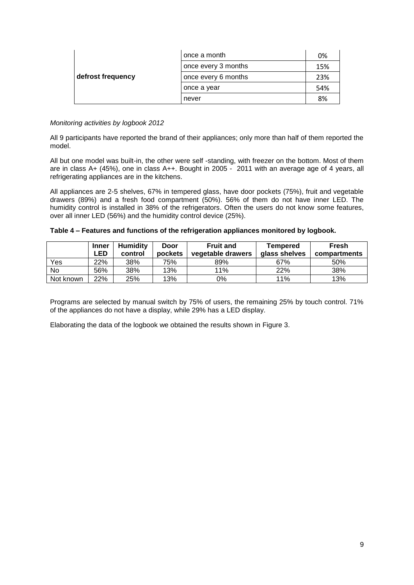|                   | once a month        | 0%  |
|-------------------|---------------------|-----|
|                   | once every 3 months | 15% |
| defrost frequency | once every 6 months | 23% |
|                   | once a year         | 54% |
|                   | never               | 8%  |

#### *Monitoring activities by logbook 2012*

All 9 participants have reported the brand of their appliances; only more than half of them reported the model.

All but one model was built-in, the other were self -standing, with freezer on the bottom. Most of them are in class A+ (45%), one in class A++. Bought in 2005 - 2011 with an average age of 4 years, all refrigerating appliances are in the kitchens.

All appliances are 2-5 shelves, 67% in tempered glass, have door pockets (75%), fruit and vegetable drawers (89%) and a fresh food compartment (50%). 56% of them do not have inner LED. The humidity control is installed in 38% of the refrigerators. Often the users do not know some features, over all inner LED (56%) and the humidity control device (25%).

|           | <b>Inner</b><br>∟ED. | <b>Humidity</b><br>control | Door<br>pockets | <b>Fruit and</b><br>vegetable drawers | Tempered<br>glass shelves | <b>Fresh</b><br>compartments |
|-----------|----------------------|----------------------------|-----------------|---------------------------------------|---------------------------|------------------------------|
| Yes       | 22%                  | 38%                        | 75%             | 89%                                   | 67%                       | 50%                          |
| No        | 56%                  | 38%                        | 13%             | 11%                                   | 22%                       | 38%                          |
| Not known | 22%                  | 25%                        | 13%             | 0%                                    | 11%                       | 13%                          |

Programs are selected by manual switch by 75% of users, the remaining 25% by touch control. 71% of the appliances do not have a display, while 29% has a LED display.

Elaborating the data of the logbook we obtained the results shown in [Figure 3.](#page-9-0)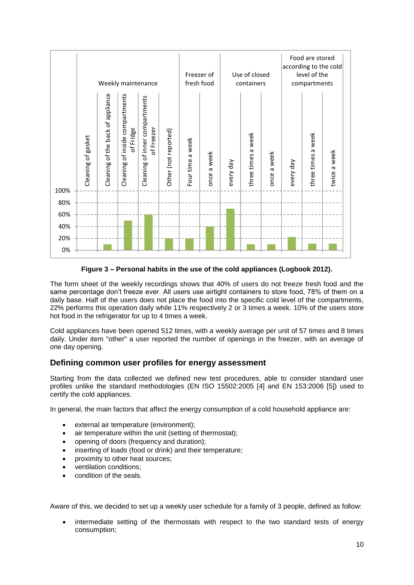

**Figure 3 – Personal habits in the use of the cold appliances (Logbook 2012).**

<span id="page-9-0"></span>The form sheet of the weekly recordings shows that 40% of users do not freeze fresh food and the same percentage don't freeze ever. All users use airtight containers to store food, 78% of them on a daily base. Half of the users does not place the food into the specific cold level of the compartments, 22% performs this operation daily while 11% respectively 2 or 3 times a week. 10% of the users store hot food in the refrigerator for up to 4 times a week.

Cold appliances have been opened 512 times, with a weekly average per unit of 57 times and 8 times daily. Under item "other" a user reported the number of openings in the freezer, with an average of one day opening.

### **Defining common user profiles for energy assessment**

Starting from the data collected we defined new test procedures, able to consider standard user profiles unlike the standard methodologies (EN ISO 15502:2005 [4] and EN 153:2006 [5]) used to certify the cold appliances.

In general, the main factors that affect the energy consumption of a cold household appliance are:

- external air temperature (environment);
- air temperature within the unit (setting of thermostat);
- opening of doors (frequency and duration);
- inserting of loads (food or drink) and their temperature;
- proximity to other heat sources;
- ventilation conditions;
- condition of the seals.

Aware of this, we decided to set up a weekly user schedule for a family of 3 people, defined as follow:

 intermediate setting of the thermostats with respect to the two standard tests of energy consumption;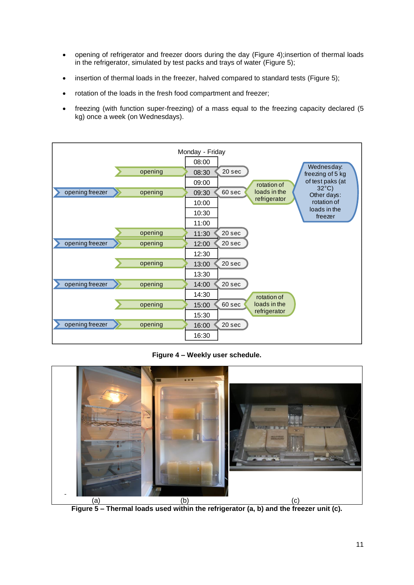- opening of refrigerator and freezer doors during the day [\(Figure 4\)](#page-10-0);insertion of thermal loads in the refrigerator, simulated by test packs and trays of water [\(Figure 5\)](#page-10-1);
- insertion of thermal loads in the freezer, halved compared to standard tests [\(Figure 5\)](#page-10-1);
- rotation of the loads in the fresh food compartment and freezer;
- freezing (with function super-freezing) of a mass equal to the freezing capacity declared (5 kg) once a week (on Wednesdays).



**Figure 4 – Weekly user schedule.**

<span id="page-10-1"></span><span id="page-10-0"></span>

**Figure 5 – Thermal loads used within the refrigerator (a, b) and the freezer unit (c).**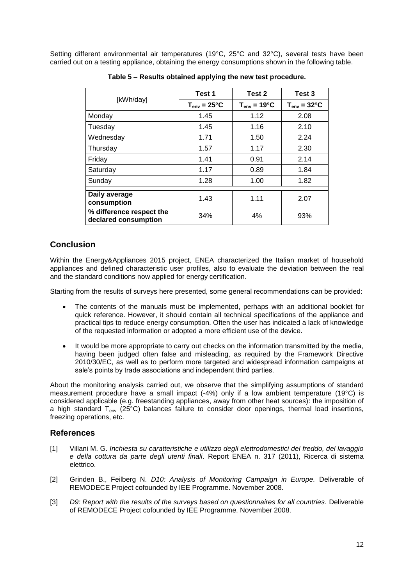Setting different environmental air temperatures (19°C, 25°C and 32°C), several tests have been carried out on a testing appliance, obtaining the energy consumptions shown in the following table.

|                                                  | Test 1                  | Test 2                  | Test 3                  |
|--------------------------------------------------|-------------------------|-------------------------|-------------------------|
| [kWh/day]                                        | $T_{env} = 25^{\circ}C$ | $T_{env} = 19^{\circ}C$ | $T_{env} = 32^{\circ}C$ |
| Monday                                           | 1.45                    | 1.12                    | 2.08                    |
| Tuesday                                          | 1.45                    | 1.16                    | 2.10                    |
| Wednesday                                        | 1.71                    | 1.50                    | 2.24                    |
| Thursday                                         | 1.57                    | 1.17                    | 2.30                    |
| Friday                                           | 1.41                    | 0.91                    | 2.14                    |
| Saturday                                         | 1.17                    | 0.89                    | 1.84                    |
| Sunday                                           | 1.28                    | 1.00                    | 1.82                    |
| Daily average<br>consumption                     | 1.43                    | 1.11                    | 2.07                    |
| % difference respect the<br>declared consumption | 34%                     | 4%                      | 93%                     |

**Table 5 – Results obtained applying the new test procedure.**

## **Conclusion**

Within the Energy&Appliances 2015 project, ENEA characterized the Italian market of household appliances and defined characteristic user profiles, also to evaluate the deviation between the real and the standard conditions now applied for energy certification.

Starting from the results of surveys here presented, some general recommendations can be provided:

- The contents of the manuals must be implemented, perhaps with an additional booklet for quick reference. However, it should contain all technical specifications of the appliance and practical tips to reduce energy consumption. Often the user has indicated a lack of knowledge of the requested information or adopted a more efficient use of the device.
- It would be more appropriate to carry out checks on the information transmitted by the media, having been judged often false and misleading, as required by the Framework Directive 2010/30/EC, as well as to perform more targeted and widespread information campaigns at sale's points by trade associations and independent third parties.

About the monitoring analysis carried out, we observe that the simplifying assumptions of standard measurement procedure have a small impact (-4%) only if a low ambient temperature (19°C) is considered applicable (e.g. freestanding appliances, away from other heat sources): the imposition of a high standard  $T_{env}$  (25°C) balances failure to consider door openings, thermal load insertions, freezing operations, etc.

## **References**

- [1] Villani M. G. *Inchiesta su caratteristiche e utilizzo degli elettrodomestici del freddo, del lavaggio e della cottura da parte degli utenti finali*. Report ENEA n. 317 (2011), Ricerca di sistema elettrico.
- [2] Grinden B., Feilberg N. *D10: Analysis of Monitoring Campaign in Europe.* Deliverable of REMODECE Project cofounded by IEE Programme. November 2008.
- [3] *D9: Report with the results of the surveys based on questionnaires for all countries. Deliverable* of REMODECE Project cofounded by IEE Programme. November 2008.